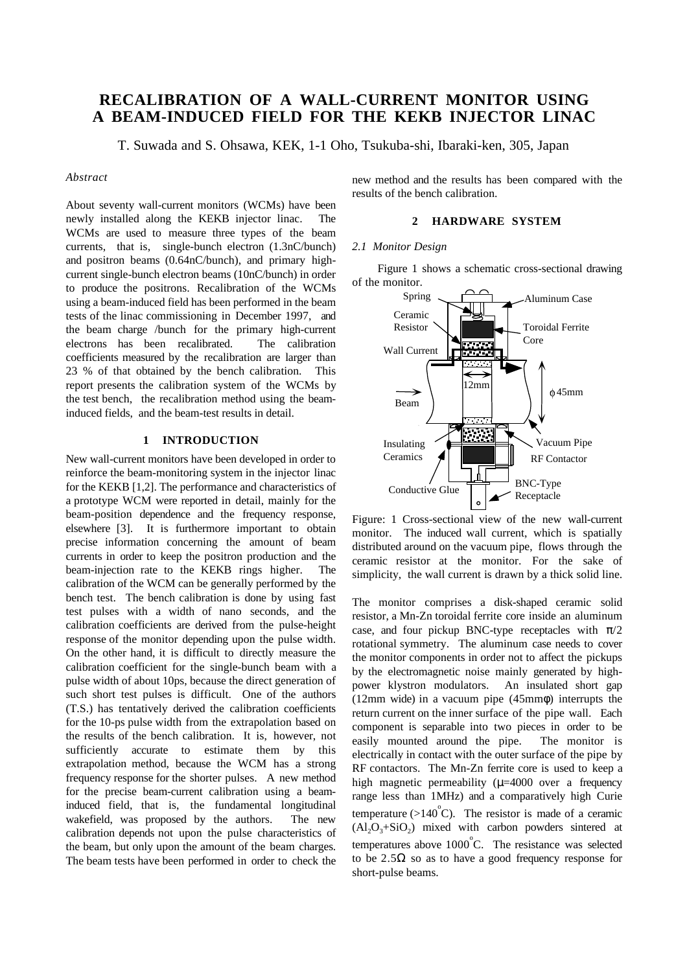# **RECALIBRATION OF A WALL-CURRENT MONITOR USING A BEAM-INDUCED FIELD FOR THE KEKB INJECTOR LINAC**

T. Suwada and S. Ohsawa, KEK, 1-1 Oho, Tsukuba-shi, Ibaraki-ken, 305, Japan

#### *Abstract*

About seventy wall-current monitors (WCMs) have been newly installed along the KEKB injector linac. The WCMs are used to measure three types of the beam currents, that is, single-bunch electron (1.3nC/bunch) and positron beams (0.64nC/bunch), and primary highcurrent single-bunch electron beams (10nC/bunch) in order to produce the positrons. Recalibration of the WCMs using a beam-induced field has been performed in the beam tests of the linac commissioning in December 1997, and the beam charge /bunch for the primary high-current electrons has been recalibrated. The calibration coefficients measured by the recalibration are larger than 23 % of that obtained by the bench calibration. This report presents the calibration system of the WCMs by the test bench, the recalibration method using the beaminduced fields, and the beam-test results in detail.

## **1 INTRODUCTION**

New wall-current monitors have been developed in order to reinforce the beam-monitoring system in the injector linac for the KEKB [1,2]. The performance and characteristics of a prototype WCM were reported in detail, mainly for the beam-position dependence and the frequency response, elsewhere [3]. It is furthermore important to obtain precise information concerning the amount of beam currents in order to keep the positron production and the beam-injection rate to the KEKB rings higher. The calibration of the WCM can be generally performed by the bench test. The bench calibration is done by using fast test pulses with a width of nano seconds, and the calibration coefficients are derived from the pulse-height response of the monitor depending upon the pulse width. On the other hand, it is difficult to directly measure the calibration coefficient for the single-bunch beam with a pulse width of about 10ps, because the direct generation of such short test pulses is difficult. One of the authors (T.S.) has tentatively derived the calibration coefficients for the 10-ps pulse width from the extrapolation based on the results of the bench calibration. It is, however, not sufficiently accurate to estimate them by this extrapolation method, because the WCM has a strong frequency response for the shorter pulses. A new method for the precise beam-current calibration using a beaminduced field, that is, the fundamental longitudinal wakefield, was proposed by the authors. The new calibration depends not upon the pulse characteristics of the beam, but only upon the amount of the beam charges. The beam tests have been performed in order to check the

new method and the results has been compared with the results of the bench calibration.

# **2 HARDWARE SYSTEM**

## *2.1 Monitor Design*

Figure 1 shows a schematic cross-sectional drawing of the monitor.



Figure: 1 Cross-sectional view of the new wall-current monitor. The induced wall current, which is spatially distributed around on the vacuum pipe, flows through the ceramic resistor at the monitor. For the sake of simplicity, the wall current is drawn by a thick solid line.

The monitor comprises a disk-shaped ceramic solid resistor, a Mn-Zn toroidal ferrite core inside an aluminum case, and four pickup BNC-type receptacles with  $\pi/2$ rotational symmetry. The aluminum case needs to cover the monitor components in order not to affect the pickups by the electromagnetic noise mainly generated by highpower klystron modulators. An insulated short gap (12mm wide) in a vacuum pipe (45mmφ) interrupts the return current on the inner surface of the pipe wall. Each component is separable into two pieces in order to be easily mounted around the pipe. The monitor is electrically in contact with the outer surface of the pipe by RF contactors. The Mn-Zn ferrite core is used to keep a high magnetic permeability  $(\mu=4000)$  over a frequency range less than 1MHz) and a comparatively high Curie temperature ( $>140^{\circ}$ C). The resistor is made of a ceramic  $(Al_2O_3 + SiO_2)$  mixed with carbon powders sintered at temperatures above  $1000^{\circ}$ C. The resistance was selected to be  $2.5\Omega$  so as to have a good frequency response for short-pulse beams.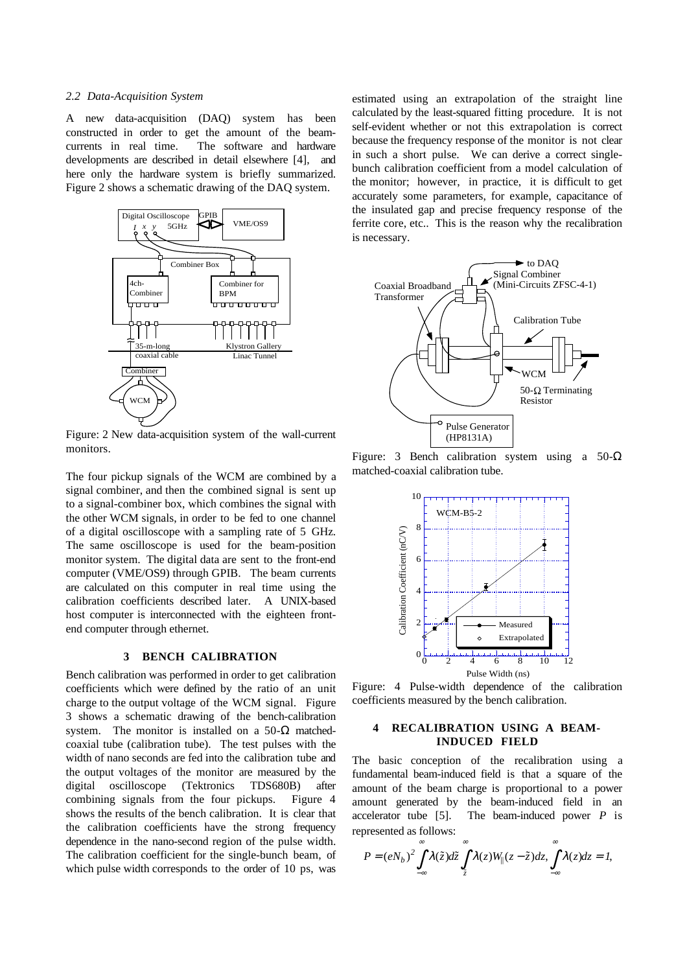#### *2.2 Data-Acquisition System*

A new data-acquisition (DAQ) system has been constructed in order to get the amount of the beamcurrents in real time. The software and hardware developments are described in detail elsewhere [4], and here only the hardware system is briefly summarized. Figure 2 shows a schematic drawing of the DAQ system.



Figure: 2 New data-acquisition system of the wall-current monitors.

The four pickup signals of the WCM are combined by a signal combiner, and then the combined signal is sent up to a signal-combiner box, which combines the signal with the other WCM signals, in order to be fed to one channel of a digital oscilloscope with a sampling rate of 5 GHz. The same oscilloscope is used for the beam-position monitor system. The digital data are sent to the front-end computer (VME/OS9) through GPIB. The beam currents are calculated on this computer in real time using the calibration coefficients described later. A UNIX-based host computer is interconnected with the eighteen frontend computer through ethernet.

## **3 BENCH CALIBRATION**

Bench calibration was performed in order to get calibration coefficients which were defined by the ratio of an unit charge to the output voltage of the WCM signal. Figure 3 shows a schematic drawing of the bench-calibration system. The monitor is installed on a 50- $\Omega$  matchedcoaxial tube (calibration tube). The test pulses with the width of nano seconds are fed into the calibration tube and the output voltages of the monitor are measured by the digital oscilloscope (Tektronics TDS680B) after combining signals from the four pickups. Figure 4 shows the results of the bench calibration. It is clear that the calibration coefficients have the strong frequency dependence in the nano-second region of the pulse width. The calibration coefficient for the single-bunch beam, of which pulse width corresponds to the order of 10 ps, was

estimated using an extrapolation of the straight line calculated by the least-squared fitting procedure. It is not self-evident whether or not this extrapolation is correct because the frequency response of the monitor is not clear in such a short pulse. We can derive a correct singlebunch calibration coefficient from a model calculation of the monitor; however, in practice, it is difficult to get accurately some parameters, for example, capacitance of the insulated gap and precise frequency response of the ferrite core, etc.. This is the reason why the recalibration is necessary.



Figure: 3 Bench calibration system using a  $50-\Omega$ matched-coaxial calibration tube.



Figure: 4 Pulse-width dependence of the calibration coefficients measured by the bench calibration.

# **4 RECALIBRATION USING A BEAM-INDUCED FIELD**

The basic conception of the recalibration using a fundamental beam-induced field is that a square of the amount of the beam charge is proportional to a power amount generated by the beam-induced field in an accelerator tube [5]. The beam-induced power *P* is represented as follows:

$$
P=(eN_b)^2\int\limits_{-\infty}^{\infty}\lambda(\tilde{z})d\tilde{z}\int\limits_{\tilde{z}}^{\infty}\lambda(z)W_{\parallel}(z-\tilde{z})dz,\int\limits_{-\infty}^{\infty}\lambda(z)dz=I,
$$